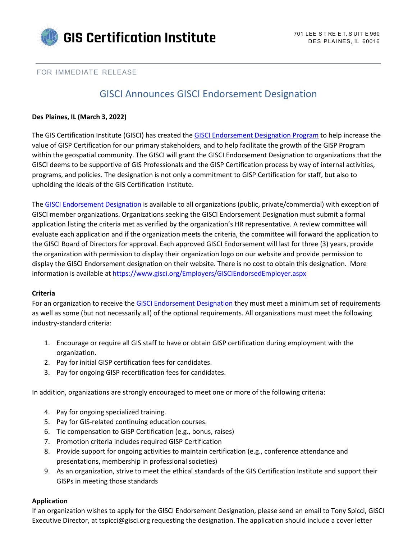

## FOR IMMEDIATE RELEASE

# GISCI Announces GISCI Endorsement Designation

## **Des Plaines, IL (March 3, 2022)**

The GIS Certification Institute (GISCI) has created th[e GISCI Endorsement Designation Program](https://www.gisci.org/Employers/GISCIEndorsedEmployer.aspx) to help increase the value of GISP Certification for our primary stakeholders, and to help facilitate the growth of the GISP Program within the geospatial community. The GISCI will grant the GISCI Endorsement Designation to organizations that the GISCI deems to be supportive of GIS Professionals and the GISP Certification process by way of internal activities, programs, and policies. The designation is not only a commitment to GISP Certification for staff, but also to upholding the ideals of the GIS Certification Institute.

The [GISCI Endorsement Designation](https://www.gisci.org/Employers/GISCIEndorsedEmployer.aspx) is available to all organizations (public, private/commercial) with exception of GISCI member organizations. Organizations seeking the GISCI Endorsement Designation must submit a formal application listing the criteria met as verified by the organization's HR representative. A review committee will evaluate each application and if the organization meets the criteria, the committee will forward the application to the GISCI Board of Directors for approval. Each approved GISCI Endorsement will last for three (3) years, provide the organization with permission to display their organization logo on our website and provide permission to display the GISCI Endorsement designation on their website. There is no cost to obtain this designation. More information is available a[t https://www.gisci.org/Employers/GISCIEndorsedEmployer.aspx](https://www.gisci.org/Employers/GISCIEndorsedEmployer.aspx)

#### **Criteria**

For an organization to receive the [GISCI Endorsement Designation](https://www.gisci.org/Employers/GISCIEndorsedEmployer.aspx) they must meet a minimum set of requirements as well as some (but not necessarily all) of the optional requirements. All organizations must meet the following industry-standard criteria:

- 1. Encourage or require all GIS staff to have or obtain GISP certification during employment with the organization.
- 2. Pay for initial GISP certification fees for candidates.
- 3. Pay for ongoing GISP recertification fees for candidates.

In addition, organizations are strongly encouraged to meet one or more of the following criteria:

- 4. Pay for ongoing specialized training.
- 5. Pay for GIS-related continuing education courses.
- 6. Tie compensation to GISP Certification (e.g., bonus, raises)
- 7. Promotion criteria includes required GISP Certification
- 8. Provide support for ongoing activities to maintain certification (e.g., conference attendance and presentations, membership in professional societies)
- 9. As an organization, strive to meet the ethical standards of the GIS Certification Institute and support their GISPs in meeting those standards

# **Application**

If an organization wishes to apply for the GISCI Endorsement Designation, please send an email to Tony Spicci, GISCI Executive Director, at tspicci@gisci.org requesting the designation. The application should include a cover letter